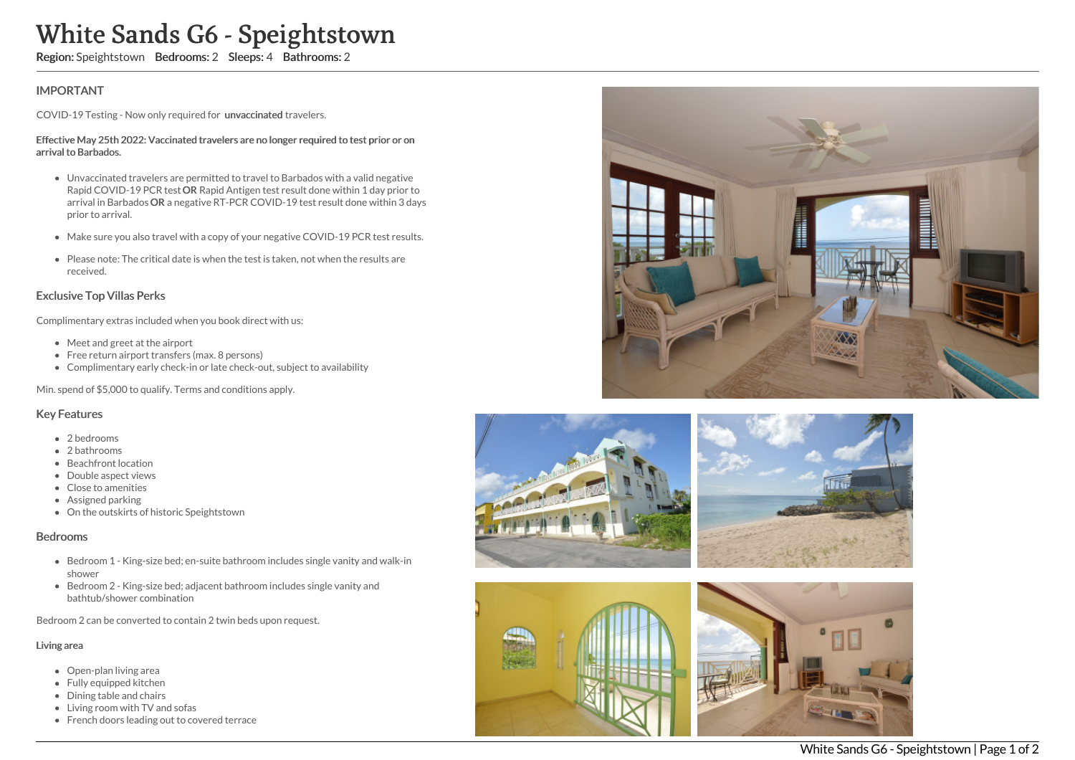# White Sands G6 - Speightstown

Region: Speightstown Bedrooms: 2 Sleeps: 4 Bathrooms: 2

## IMPORTANT

COVID-19 Testing - Now only required for unvaccinated travelers.

#### Effective May 25th 2022: Vaccinated travelers are no longer required to test prior or on arrival to Barbados.

- Unvaccinated travelers are permitted to travel to Barbados with a valid negative Rapid COVID-19 PCR test OR Rapid Antigen test result done within 1 day prior to arrival in Barbados OR a negative RT-PCR COVID-19 test result done within 3 days prior to arrival.
- Make sure you also travel with a copy of your negative COVID-19 PCR test results.
- Please note: The critical date is when the test is taken, not when the results are received.

### Exclusive Top Villas Perks

Complimentary extras included when you book direct with us:

- Meet and greet at the airport
- Free return airport transfers (max. 8 persons)
- Complimentary early check-in or late check-out, subject to availability

Min. spend of \$5,000 to qualify. Terms and conditions apply.

#### Key Features

- 2 hedrooms
- 2 bathrooms
- Beachfront location
- Double aspect views
- Close to amenities
- Assigned parking
- On the outskirts of historic Speightstown

#### Bedrooms

- Bedroom 1 King-size bed; en-suite bathroom includes single vanity and walk-in shower
- Bedroom 2 King-size bed; adjacent bathroom includes single vanity and bathtub/shower combination

Bedroom 2 can be converted to contain 2 twin beds upon request.

#### Living area

- Open-plan living area
- Fully equipped kitchen
- Dining table and chairs
- Living room with TV and sofas
- French doors leading out to covered terrace